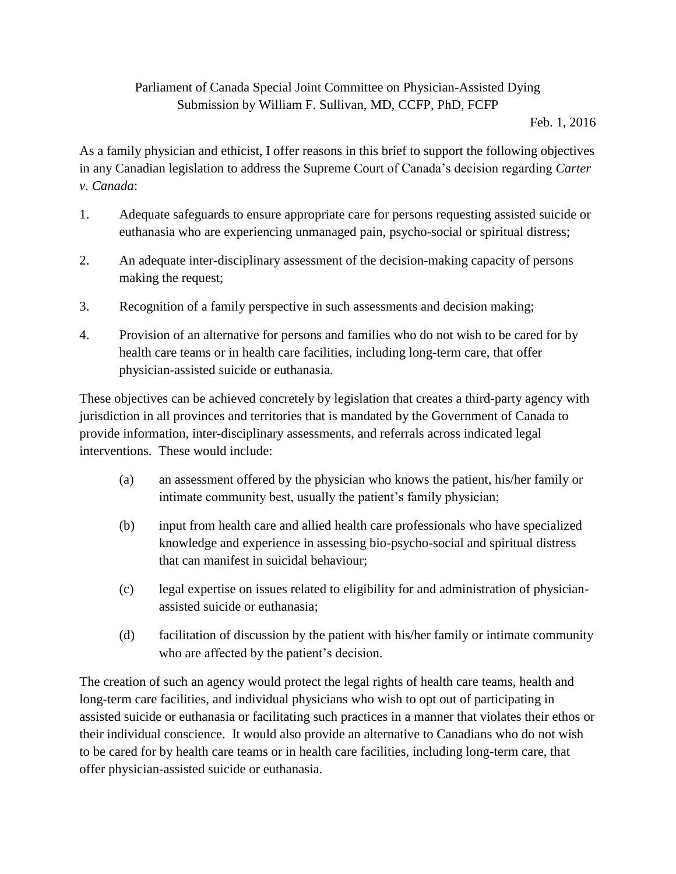## Parliament of Canada Special Joint Committee on Physician-Assisted Dying Submission by William F. Sullivan, MD, CCFP, PhD, FCFP

Feb. 1, 2016

As a family physician and ethicist, I offer reasons in this brief to support the following objectives in any Canadian legislation to address the Supreme Court of Canada's decision regarding *Carter v. Canada*:

- 1. Adequate safeguards to ensure appropriate care for persons requesting assisted suicide or euthanasia who are experiencing unmanaged pain, psycho-social or spiritual distress;
- 2. An adequate inter-disciplinary assessment of the decision-making capacity of persons making the request;
- 3. Recognition of a family perspective in such assessments and decision making;
- 4. Provision of an alternative for persons and families who do not wish to be cared for by health care teams or in health care facilities, including long-term care, that offer physician-assisted suicide or euthanasia.

These objectives can be achieved concretely by legislation that creates a third-party agency with jurisdiction in all provinces and territories that is mandated by the Government of Canada to provide information, inter-disciplinary assessments, and referrals across indicated legal interventions. These would include:

- (a) an assessment offered by the physician who knows the patient, his/her family or intimate community best, usually the patient's family physician;
- (b) input from health care and allied health care professionals who have specialized knowledge and experience in assessing bio-psycho-social and spiritual distress that can manifest in suicidal behaviour;
- (c) legal expertise on issues related to eligibility for and administration of physicianassisted suicide or euthanasia;
- (d) facilitation of discussion by the patient with his/her family or intimate community who are affected by the patient's decision.

The creation of such an agency would protect the legal rights of health care teams, health and long-term care facilities, and individual physicians who wish to opt out of participating in assisted suicide or euthanasia or facilitating such practices in a manner that violates their ethos or their individual conscience. It would also provide an alternative to Canadians who do not wish to be cared for by health care teams or in health care facilities, including long-term care, that offer physician-assisted suicide or euthanasia.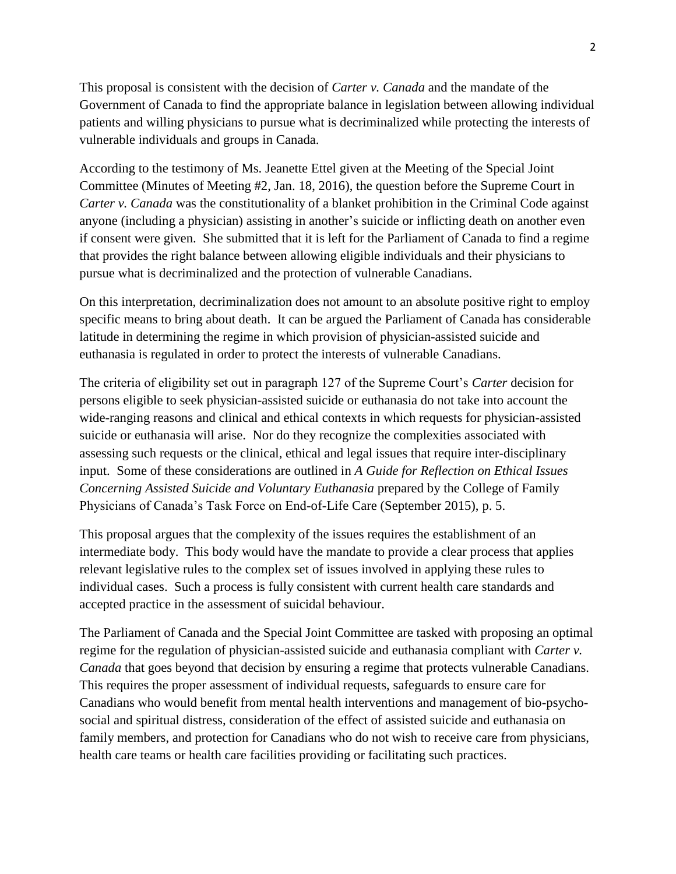This proposal is consistent with the decision of *Carter v. Canada* and the mandate of the Government of Canada to find the appropriate balance in legislation between allowing individual patients and willing physicians to pursue what is decriminalized while protecting the interests of vulnerable individuals and groups in Canada.

According to the testimony of Ms. Jeanette Ettel given at the Meeting of the Special Joint Committee (Minutes of Meeting #2, Jan. 18, 2016), the question before the Supreme Court in *Carter v. Canada* was the constitutionality of a blanket prohibition in the Criminal Code against anyone (including a physician) assisting in another's suicide or inflicting death on another even if consent were given. She submitted that it is left for the Parliament of Canada to find a regime that provides the right balance between allowing eligible individuals and their physicians to pursue what is decriminalized and the protection of vulnerable Canadians.

On this interpretation, decriminalization does not amount to an absolute positive right to employ specific means to bring about death. It can be argued the Parliament of Canada has considerable latitude in determining the regime in which provision of physician-assisted suicide and euthanasia is regulated in order to protect the interests of vulnerable Canadians.

The criteria of eligibility set out in paragraph 127 of the Supreme Court's *Carter* decision for persons eligible to seek physician-assisted suicide or euthanasia do not take into account the wide-ranging reasons and clinical and ethical contexts in which requests for physician-assisted suicide or euthanasia will arise. Nor do they recognize the complexities associated with assessing such requests or the clinical, ethical and legal issues that require inter-disciplinary input. Some of these considerations are outlined in *A Guide for Reflection on Ethical Issues Concerning Assisted Suicide and Voluntary Euthanasia* prepared by the College of Family Physicians of Canada's Task Force on End-of-Life Care (September 2015), p. 5.

This proposal argues that the complexity of the issues requires the establishment of an intermediate body. This body would have the mandate to provide a clear process that applies relevant legislative rules to the complex set of issues involved in applying these rules to individual cases. Such a process is fully consistent with current health care standards and accepted practice in the assessment of suicidal behaviour.

The Parliament of Canada and the Special Joint Committee are tasked with proposing an optimal regime for the regulation of physician-assisted suicide and euthanasia compliant with *Carter v. Canada* that goes beyond that decision by ensuring a regime that protects vulnerable Canadians. This requires the proper assessment of individual requests, safeguards to ensure care for Canadians who would benefit from mental health interventions and management of bio-psychosocial and spiritual distress, consideration of the effect of assisted suicide and euthanasia on family members, and protection for Canadians who do not wish to receive care from physicians, health care teams or health care facilities providing or facilitating such practices.